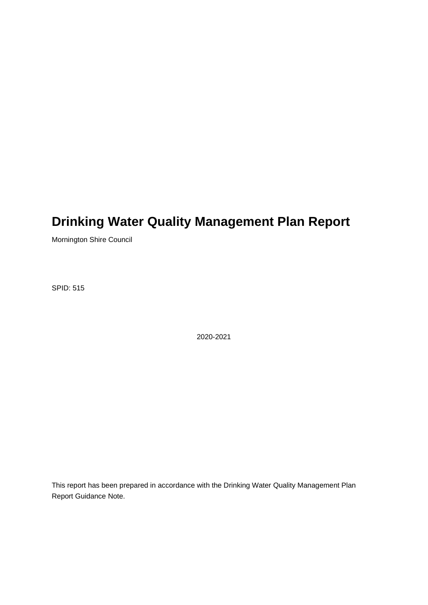# **Drinking Water Quality Management Plan Report**

Mornington Shire Council

SPID: 515

2020-2021

This report has been prepared in accordance with the Drinking Water Quality Management Plan Report Guidance Note.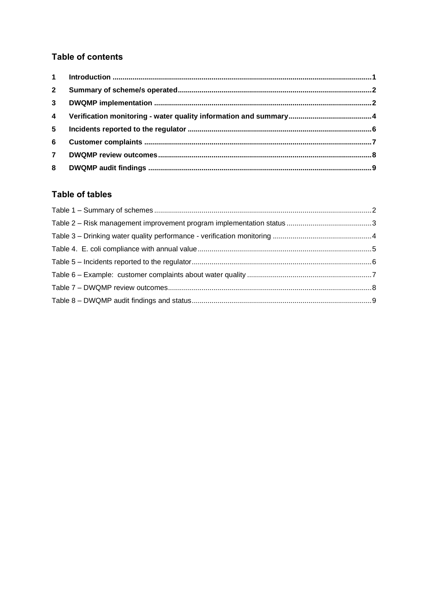#### **Table of contents**

| $\overline{2}$ |  |
|----------------|--|
| 3 <sup>1</sup> |  |
| $\overline{4}$ |  |
| 5 <sup>5</sup> |  |
| 6              |  |
| $\overline{7}$ |  |
|                |  |

#### **Table of tables**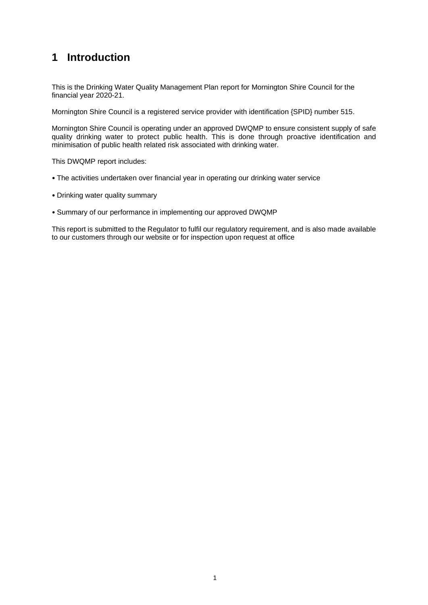## <span id="page-2-0"></span>**1 Introduction**

This is the Drinking Water Quality Management Plan report for Mornington Shire Council for the financial year 2020-21.

Mornington Shire Council is a registered service provider with identification {SPID} number 515.

Mornington Shire Council is operating under an approved DWQMP to ensure consistent supply of safe quality drinking water to protect public health. This is done through proactive identification and minimisation of public health related risk associated with drinking water.

This DWQMP report includes:

- The activities undertaken over financial year in operating our drinking water service
- Drinking water quality summary
- Summary of our performance in implementing our approved DWQMP

This report is submitted to the Regulator to fulfil our regulatory requirement, and is also made available to our customers through our website or for inspection upon request at office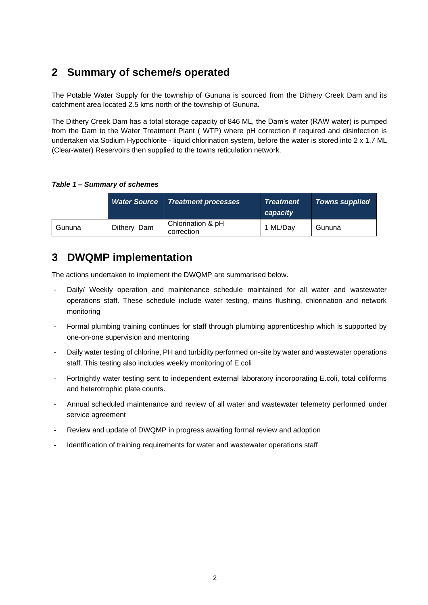## <span id="page-3-0"></span>**2 Summary of scheme/s operated**

The Potable Water Supply for the township of Gununa is sourced from the Dithery Creek Dam and its catchment area located 2.5 kms north of the township of Gununa.

The Dithery Creek Dam has a total storage capacity of 846 ML, the Dam's water (RAW water) is pumped from the Dam to the Water Treatment Plant ( WTP) where pH correction if required and disinfection is undertaken via Sodium Hypochlorite - liquid chlorination system, before the water is stored into 2 x 1.7 ML (Clear-water) Reservoirs then supplied to the towns reticulation network.

<span id="page-3-2"></span>*Table 1 – Summary of schemes* 

|        | <b>Water Source</b> | <b>Treatment processes</b>      | <b>Treatment</b><br>capacity | Towns supplied |
|--------|---------------------|---------------------------------|------------------------------|----------------|
| Gununa | Dithery Dam         | Chlorination & pH<br>correction | 1 ML/Day                     | Gununa         |

### <span id="page-3-1"></span>**3 DWQMP implementation**

The actions undertaken to implement the DWQMP are summarised below.

- Daily/ Weekly operation and maintenance schedule maintained for all water and wastewater operations staff. These schedule include water testing, mains flushing, chlorination and network monitoring
- Formal plumbing training continues for staff through plumbing apprenticeship which is supported by one-on-one supervision and mentoring
- Daily water testing of chlorine, PH and turbidity performed on-site by water and wastewater operations staff. This testing also includes weekly monitoring of E.coli
- Fortnightly water testing sent to independent external laboratory incorporating E.coli, total coliforms and heterotrophic plate counts.
- Annual scheduled maintenance and review of all water and wastewater telemetry performed under service agreement
- Review and update of DWQMP in progress awaiting formal review and adoption
- Identification of training requirements for water and wastewater operations staff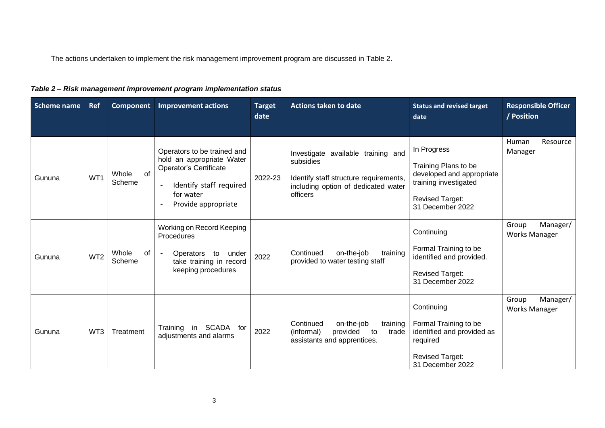The actions undertaken to implement the risk management improvement program are discussed in Table 2.

| Table 2 - Risk management improvement program implementation status |  |  |
|---------------------------------------------------------------------|--|--|
|---------------------------------------------------------------------|--|--|

<span id="page-4-0"></span>

| <b>Scheme name</b> | Ref             | Component             | <b>Improvement actions</b>                                                                                                                                                 | <b>Target</b><br>date | <b>Actions taken to date</b>                                                                                                                 | <b>Status and revised target</b><br>date                                                                                                | <b>Responsible Officer</b><br>/ Position  |
|--------------------|-----------------|-----------------------|----------------------------------------------------------------------------------------------------------------------------------------------------------------------------|-----------------------|----------------------------------------------------------------------------------------------------------------------------------------------|-----------------------------------------------------------------------------------------------------------------------------------------|-------------------------------------------|
| Gununa             | WT1             | Whole<br>of<br>Scheme | Operators to be trained and<br>hold an appropriate Water<br><b>Operator's Certificate</b><br>Identify staff required<br>$\blacksquare$<br>for water<br>Provide appropriate | 2022-23               | Investigate available training and<br>subsidies<br>Identify staff structure requirements,<br>including option of dedicated water<br>officers | In Progress<br>Training Plans to be<br>developed and appropriate<br>training investigated<br><b>Revised Target:</b><br>31 December 2022 | Resource<br>Human<br>Manager              |
| Gununa             | WT <sub>2</sub> | Whole<br>of<br>Scheme | Working on Record Keeping<br>Procedures<br>Operators<br>to<br>under<br>take training in record<br>keeping procedures                                                       | 2022                  | training<br>Continued<br>on-the-job<br>provided to water testing staff                                                                       | Continuing<br>Formal Training to be<br>identified and provided.<br><b>Revised Target:</b><br>31 December 2022                           | Manager/<br>Group<br><b>Works Manager</b> |
| Gununa             | WT3             | Treatment             | Training in SCADA for<br>adjustments and alarms                                                                                                                            | 2022                  | Continued<br>on-the-job<br>training<br>provided<br>(informal)<br>to<br>trade<br>assistants and apprentices.                                  | Continuing<br>Formal Training to be<br>identified and provided as<br>required<br><b>Revised Target:</b><br>31 December 2022             | Manager/<br>Group<br><b>Works Manager</b> |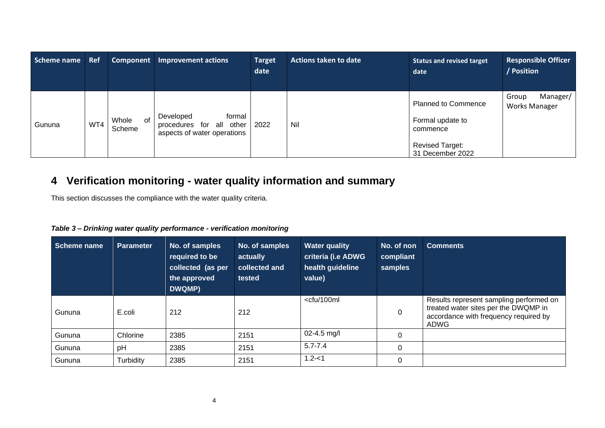| Scheme name | Ref | Component             | <b>Improvement actions</b>                                                     | <b>Target</b><br>date | <b>Actions taken to date</b> | <b>Status and revised target</b><br>date                                                                 | <b>Responsible Officer</b><br>/ Position  |
|-------------|-----|-----------------------|--------------------------------------------------------------------------------|-----------------------|------------------------------|----------------------------------------------------------------------------------------------------------|-------------------------------------------|
| Gununa      | WT4 | Whole<br>of<br>Scheme | formal<br>Developed<br>procedures for all other<br>aspects of water operations | 2022                  | Nil                          | <b>Planned to Commence</b><br>Formal update to<br>commence<br><b>Revised Target:</b><br>31 December 2022 | Manager/<br>Group<br><b>Works Manager</b> |

## **4 Verification monitoring - water quality information and summary**

This section discusses the compliance with the water quality criteria.

| Table 3- Drinking water quality performance - verification monitoring |  |
|-----------------------------------------------------------------------|--|
|-----------------------------------------------------------------------|--|

<span id="page-5-1"></span><span id="page-5-0"></span>

| Scheme name | <b>Parameter</b> | No. of samples<br>required to be<br>collected (as per<br>the approved<br>DWQMP) | No. of samples<br>actually<br>collected and<br>tested | <b>Water quality</b><br>criteria (i.e ADWG<br>health guideline<br>value)                                                                                                                               | No. of non<br>compliant<br>samples | <b>Comments</b>                                                                                                                  |
|-------------|------------------|---------------------------------------------------------------------------------|-------------------------------------------------------|--------------------------------------------------------------------------------------------------------------------------------------------------------------------------------------------------------|------------------------------------|----------------------------------------------------------------------------------------------------------------------------------|
| Gununa      | E.coli           | 212                                                                             | 212                                                   | <cfu 100ml<="" td=""><td><math>\mathbf 0</math></td><td>Results represent sampling performed on<br/>treated water sites per the DWQMP in<br/>accordance with frequency required by<br/>ADWG</td></cfu> | $\mathbf 0$                        | Results represent sampling performed on<br>treated water sites per the DWQMP in<br>accordance with frequency required by<br>ADWG |
| Gununa      | Chlorine         | 2385                                                                            | 2151                                                  | $02 - 4.5$ mg/l                                                                                                                                                                                        | $\Omega$                           |                                                                                                                                  |
| Gununa      | pH               | 2385                                                                            | 2151                                                  | $5.7 - 7.4$                                                                                                                                                                                            | 0                                  |                                                                                                                                  |
| Gununa      | Turbidity        | 2385                                                                            | 2151                                                  | $1.2 - 1$                                                                                                                                                                                              | $\Omega$                           |                                                                                                                                  |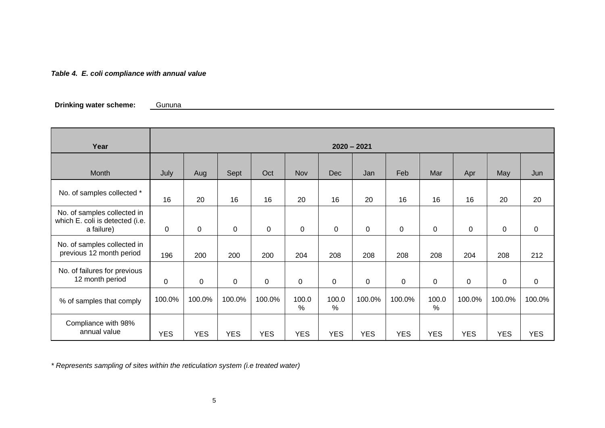#### *Table 4. E. coli compliance with annual value*

**Drinking water scheme:** Gununa

| Year                                                                         |            | $2020 - 2021$ |              |             |               |               |            |             |             |            |             |                  |
|------------------------------------------------------------------------------|------------|---------------|--------------|-------------|---------------|---------------|------------|-------------|-------------|------------|-------------|------------------|
|                                                                              |            |               |              |             |               |               |            |             |             |            |             |                  |
| Month                                                                        | July       | Aug           | Sept         | Oct         | <b>Nov</b>    | <b>Dec</b>    | Jan        | Feb         | Mar         | Apr        | May         | Jun              |
| No. of samples collected *                                                   | 16         | 20            | 16           | 16          | 20            | 16            | 20         | 16          | 16          | 16         | 20          | 20               |
| No. of samples collected in<br>which E. coli is detected (i.e.<br>a failure) | 0          | 0             | $\mathbf{0}$ | $\mathbf 0$ | $\mathbf 0$   | $\mathbf 0$   | $\Omega$   | 0           | $\Omega$    | 0          | 0           | 0                |
| No. of samples collected in<br>previous 12 month period                      | 196        | 200           | 200          | 200         | 204           | 208           | 208        | 208         | 208         | 204        | 208         | 212              |
| No. of failures for previous<br>12 month period                              | 0          | $\mathbf 0$   | $\mathbf 0$  | 0           | $\Omega$      | $\mathbf 0$   | $\Omega$   | $\mathbf 0$ | $\mathbf 0$ | 0          | $\mathbf 0$ | $\boldsymbol{0}$ |
| % of samples that comply                                                     | 100.0%     | 100.0%        | 100.0%       | 100.0%      | 100.0<br>$\%$ | 100.0<br>$\%$ | 100.0%     | 100.0%      | 100.0<br>%  | 100.0%     | 100.0%      | 100.0%           |
| Compliance with 98%<br>annual value                                          | <b>YES</b> | <b>YES</b>    | <b>YES</b>   | <b>YES</b>  | <b>YES</b>    | <b>YES</b>    | <b>YES</b> | <b>YES</b>  | <b>YES</b>  | <b>YES</b> | <b>YES</b>  | <b>YES</b>       |

<span id="page-6-0"></span>*\* Represents sampling of sites within the reticulation system (i.e treated water)*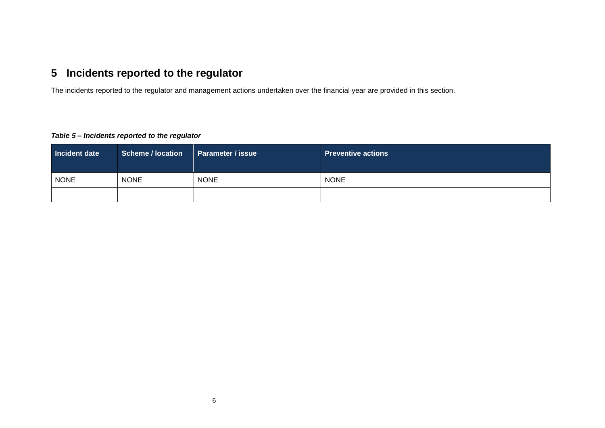## **5 Incidents reported to the regulator**

The incidents reported to the regulator and management actions undertaken over the financial year are provided in this section.

#### *Table 5 – Incidents reported to the regulator*

<span id="page-7-1"></span><span id="page-7-0"></span>

| Incident date | <b>Scheme / location</b> | <b>Parameter / issue</b> | <b>Preventive actions</b> |
|---------------|--------------------------|--------------------------|---------------------------|
| <b>NONE</b>   | <b>NONE</b>              | <b>NONE</b>              | <b>NONE</b>               |
|               |                          |                          |                           |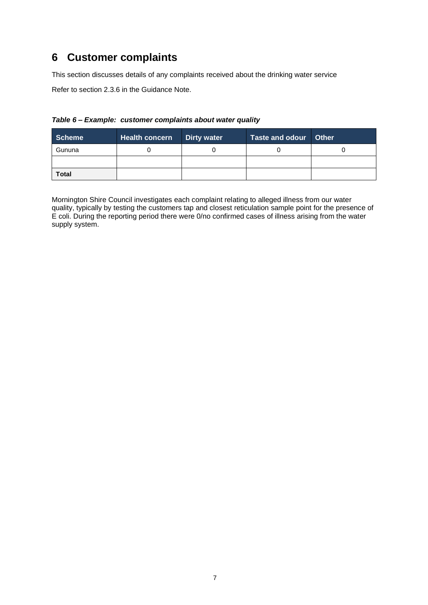### <span id="page-8-0"></span>**6 Customer complaints**

This section discusses details of any complaints received about the drinking water service

Refer to section 2.3.6 in the Guidance Note.

#### <span id="page-8-1"></span>*Table 6 – Example: customer complaints about water quality*

| <b>Scheme</b> | <b>Health concern</b> | <b>Dirty water</b> | Taste and odour Other |  |
|---------------|-----------------------|--------------------|-----------------------|--|
| Gununa        |                       |                    |                       |  |
|               |                       |                    |                       |  |
| <b>Total</b>  |                       |                    |                       |  |

Mornington Shire Council investigates each complaint relating to alleged illness from our water quality, typically by testing the customers tap and closest reticulation sample point for the presence of E coli. During the reporting period there were 0/no confirmed cases of illness arising from the water supply system.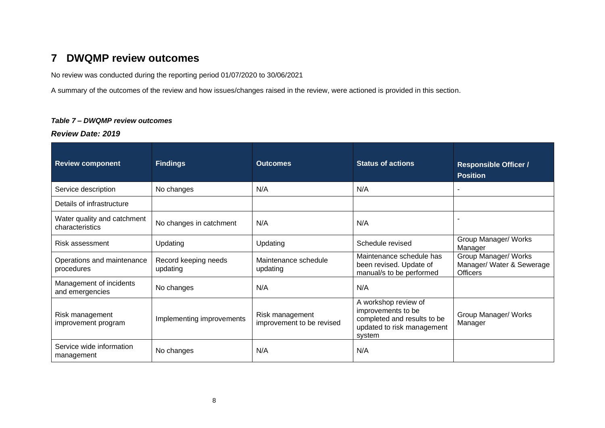### **7 DWQMP review outcomes**

No review was conducted during the reporting period 01/07/2020 to 30/06/2021

A summary of the outcomes of the review and how issues/changes raised in the review, were actioned is provided in this section.

#### *Table 7 – DWQMP review outcomes*

*Review Date: 2019*

<span id="page-9-1"></span><span id="page-9-0"></span>

| <b>Review component</b>                        | <b>Findings</b>                  | <b>Outcomes</b>                              | <b>Status of actions</b>                                                                                          | <b>Responsible Officer /</b><br><b>Position</b>                      |
|------------------------------------------------|----------------------------------|----------------------------------------------|-------------------------------------------------------------------------------------------------------------------|----------------------------------------------------------------------|
| Service description                            | No changes                       | N/A                                          | N/A                                                                                                               | $\overline{\phantom{0}}$                                             |
| Details of infrastructure                      |                                  |                                              |                                                                                                                   |                                                                      |
| Water quality and catchment<br>characteristics | No changes in catchment          | N/A                                          | N/A                                                                                                               |                                                                      |
| Risk assessment                                | Updating                         | Updating                                     | Schedule revised                                                                                                  | Group Manager/ Works<br>Manager                                      |
| Operations and maintenance<br>procedures       | Record keeping needs<br>updating | Maintenance schedule<br>updating             | Maintenance schedule has<br>been revised. Update of<br>manual/s to be performed                                   | Group Manager/ Works<br>Manager/ Water & Sewerage<br><b>Officers</b> |
| Management of incidents<br>and emergencies     | No changes                       | N/A                                          | N/A                                                                                                               |                                                                      |
| Risk management<br>improvement program         | Implementing improvements        | Risk management<br>improvement to be revised | A workshop review of<br>improvements to be<br>completed and results to be<br>updated to risk management<br>system | Group Manager/ Works<br>Manager                                      |
| Service wide information<br>management         | No changes                       | N/A                                          | N/A                                                                                                               |                                                                      |